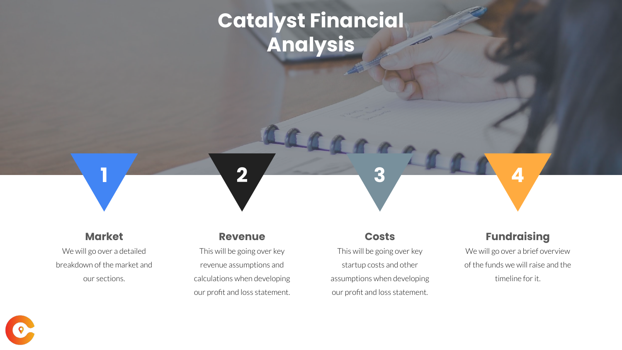# **Catalyst Financial Analysis**

**1 2 3 4**

#### **Market**

We will go over a detailed breakdown of the market and our sections.

#### **Revenue**

This will be going over key revenue assumptions and calculations when developing our profit and loss statement.

#### **Costs**

This will be going over key startup costs and other assumptions when developing our profit and loss statement.

### **Fundraising**

We will go over a brief overview of the funds we will raise and the timeline for it.

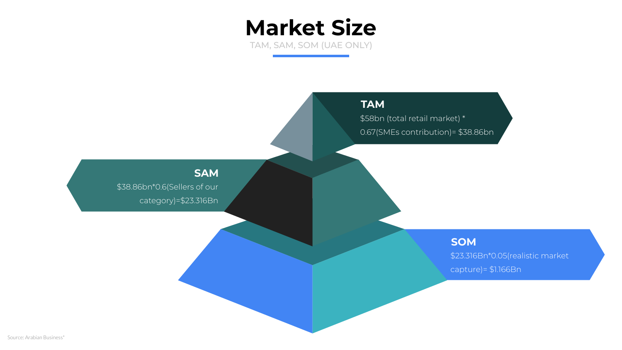TAM, SAM, SOM (UAE ONLY)

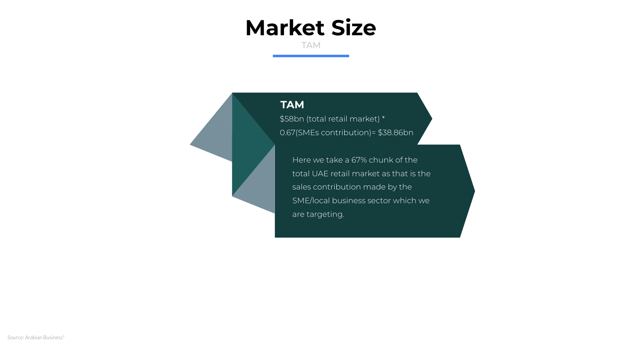TAM

#### **TAM**

\$58bn (total retail market) \* 0.67(SMEs contribution)= \$38.86bn

Here we take a 67% chunk of the total UAE retail market as that is the sales contribution made by the SME/local business sector which we are targeting.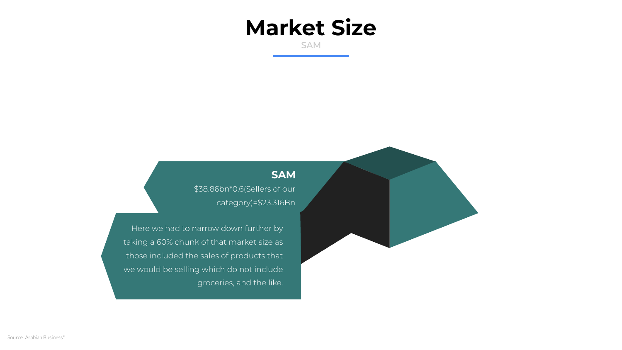SAM

### **SAM**

\$38.86bn\*0.6(Sellers of our category)=\$23.316Bn

Here we had to narrow down further by taking a 60% chunk of that market size as those included the sales of products that we would be selling which do not include groceries, and the like.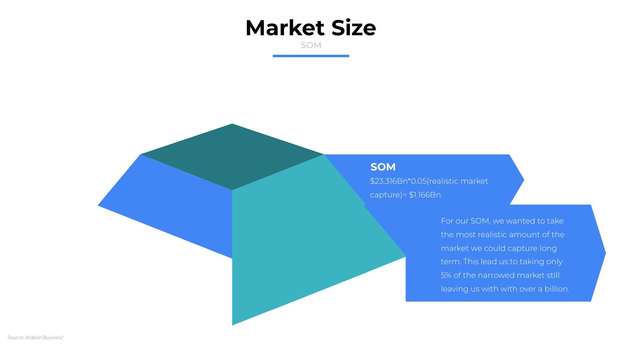SOM

#### **SOM**

\$23.316Bn\*0.05(realistic market capture)= \$1.166Bn

> the most realistic amount of the market we could capture long term. This lead us to taking only 5% of the narrowed market still leaving us with with over a billion.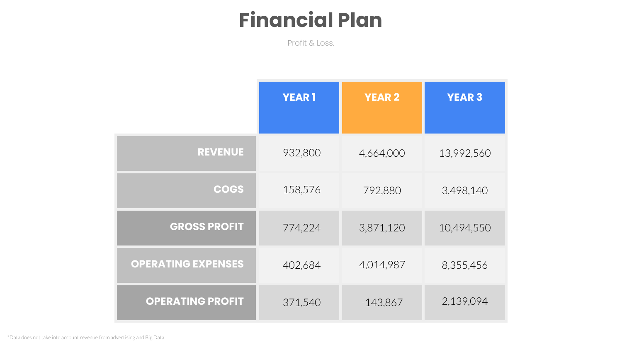# **Financial Plan**

Profit & Loss.

|                           | <b>YEAR1</b> | <b>YEAR 2</b> | <b>YEAR 3</b> |
|---------------------------|--------------|---------------|---------------|
| <b>REVENUE</b>            | 932,800      | 4,664,000     | 13,992,560    |
| <b>COGS</b>               | 158,576      | 792,880       | 3,498,140     |
| <b>GROSS PROFIT</b>       | 774,224      | 3,871,120     | 10,494,550    |
| <b>OPERATING EXPENSES</b> | 402,684      | 4,014,987     | 8,355,456     |
| <b>OPERATING PROFIT</b>   | 371,540      | $-143,867$    | 2,139,094     |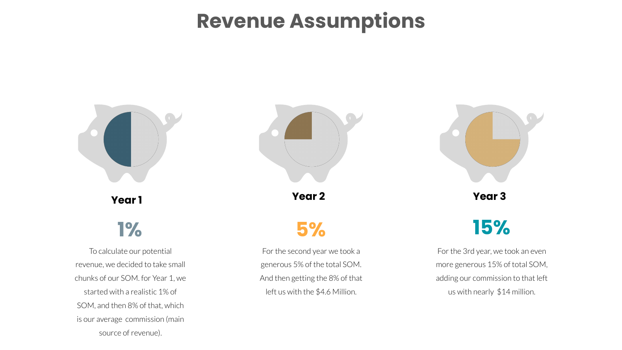### **Revenue Assumptions**



SOM, and then 8% of that, which is our average commission (main source of revenue).

us with nearly \$14 million.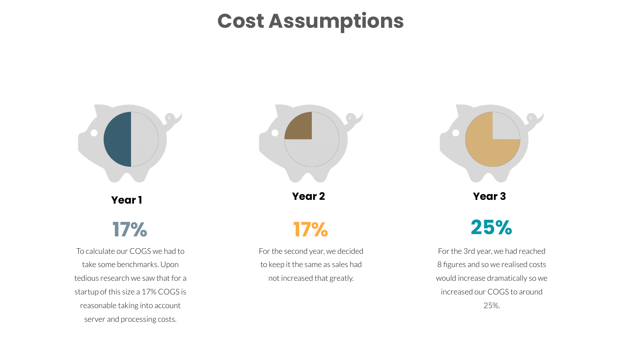### **Cost Assumptions**



reasonable taking into account server and processing costs.

25%.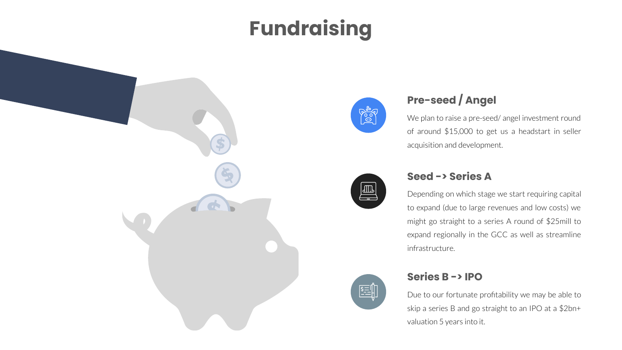# **Fundraising**





### **Pre-seed / Angel**

We plan to raise a pre-seed/ angel investment round of around \$15,000 to get us a headstart in seller acquisition and development.



#### **Seed -> Series A**

Depending on which stage we start requiring capital to expand (due to large revenues and low costs) we might go straight to a series A round of \$25mill to expand regionally in the GCC as well as streamline infrastructure.



#### **Series B -> IPO**

Due to our fortunate profitability we may be able to skip a series B and go straight to an IPO at a \$2bn+ valuation 5 years into it.